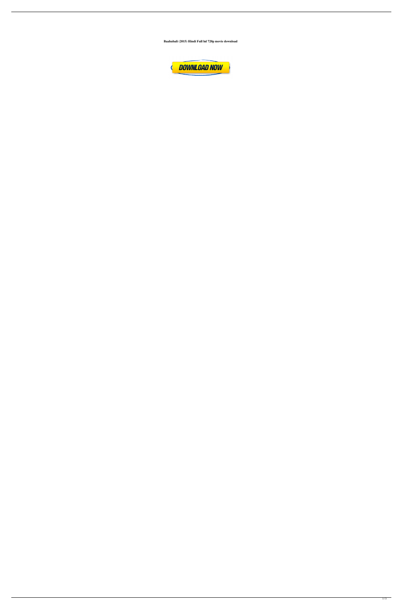**Baahubali (2015) Hindi Full hd 720p movie download**

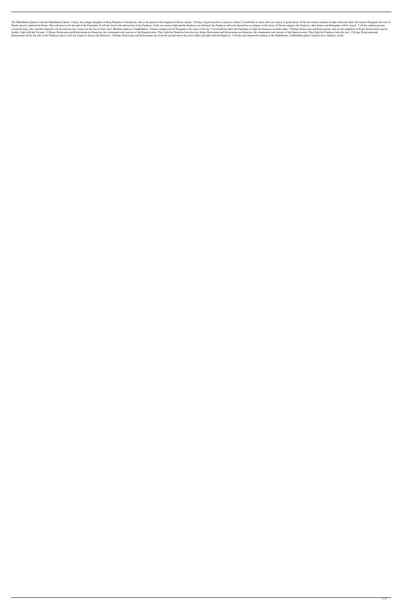The Mahabharat [Quotes from the Mahabharat] Quote: 3.Salya, the younger daughter of King Drupada of Panchavati, who is the queen of the kingdom of Drona, speaks: "O king, I regard myself as a princess. Hence, I would like Pandu, may be captured by Drona. That will prove to be the end of the Panchalas. It will also lead to the destruction of the Pandavas. If the two armies fight and the Pandavas are defeated, the Pandavas will exile themselv except the king, who considers himself to be beyond any law, weep over the loss of their chief. Bhishma addresses Yudhishthira: "Friend, compassion for Draupadi is the order of the day. You should not allow the Panchalas t brother, fight with the Yavanas. 12.Kripa, Kritavarma and Kritavarman are Kauravas, the commander and warriors of the Kaurava army. They fight the Pandavas from the rear. Kripa, Kritavarman are Kauravas, the commander and Kritavarman fall by the side of the Pandavas and it is left for Arjuna to destroy the Kauravas. 14. Kripa, Kritavarma and Kritavarman rise from the ground where they have fallen and fight with the Pandavas. 15. In the time